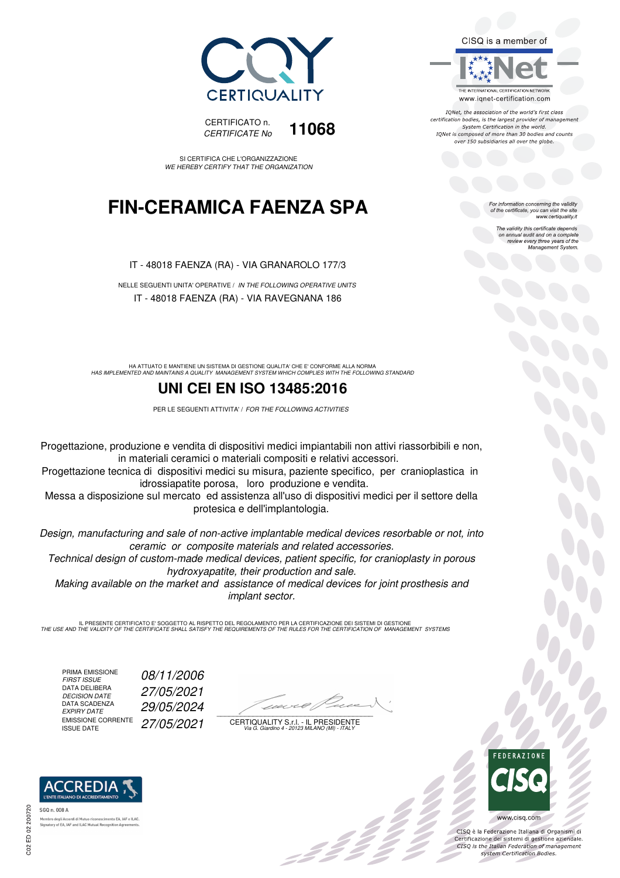



SI CERTIFICA CHE L'ORGANIZZAZIONE WE HEREBY CERTIFY THAT THE ORGANIZATION

## **FIN-CERAMICA FAENZA SPA**

IT - 48018 FAENZA (RA) - VIA GRANAROLO 177/3

NELLE SEGUENTI UNITA' OPERATIVE / IN THE FOLLOWING OPERATIVE UNITS IT - 48018 FAENZA (RA) - VIA RAVEGNANA 186

HA ATTUATO E MANTIENE UN SISTEMA DI GESTIONE QUALITA' CHE E' CONFORME ALLA NORMA<br>HAS IMPLEMENTED AND MAINTAINS A QUALITY MANAGEMENT SYSTEM WHICH COMPLIES WITH THE FOLLOWING STANDARD

#### **UNI CEI EN ISO 13485:2016**

PER LE SEGUENTI ATTIVITA' / FOR THE FOLLOWING ACTIVITIES

Progettazione, produzione e vendita di dispositivi medici impiantabili non attivi riassorbibili e non, in materiali ceramici o materiali compositi e relativi accessori.

Progettazione tecnica di dispositivi medici su misura, paziente specifico, per cranioplastica in idrossiapatite porosa, loro produzione e vendita.

Messa a disposizione sul mercato ed assistenza all'uso di dispositivi medici per il settore della protesica e dell'implantologia.

Design, manufacturing and sale of non-active implantable medical devices resorbable or not, into ceramic or composite materials and related accessories.

Technical design of custom-made medical devices, patient specific, for cranioplasty in porous hydroxyapatite, their production and sale.

Making available on the market and assistance of medical devices for joint prosthesis and implant sector.

IL PRESENTE CERTIFICATO E' SOGGETTO AL RISPETTO DEL REGOLAMENTO PER LA CERTIFICAZIONE DEI SISTEMI DI GESTIONE<br>THE USE AND THE VALIDITY OF THE CERTIFICATE SHALL SATISFY THE REQUIREMENTS OF THE RULES FOR THE CERTIFICATION OF

PRIMA EMISSIONE<br>FIRST ISSUE DATA DELIBERA<br>DECISION DATE DATA SCADENZA<br>EXPIRY DATE EMISSIONE CORRENTE<br>ISSUE DATE

08/11/2006 DECISION DATE 27/05/2021 EXPIRY DATE 29/05/2024 27/05/2021

 $\overline{\phantom{a}}$ 

CERTIQUALITY S.r.l. - IL PRESIDENTE Via G. Giardino 4 - 20123 MILANO (MI) - ITALY



 $\frac{1}{2}$ 

www.cisq.com

CISQ è la Federazione Italiana di Organismi di Certificazione dei sistemi di gestione aziendale.<br>CISQ is the Italian Federation of management system Certification Bodies.





tory of EA, IAF and ILAC Mutual Recognit

C02 ED 02 200720

CISQ is a member of



IONet, the association of the world's first class certification bodies, is the largest provider of management System Certification in the world. IQNet is composed of more than 30 bodies and counts over 150 subsidiaries all over the globe.

For information concerning the validity<br>of the certificate, you can visit the site<br>www.certiquality.it

The validity this certificate depends on annual audit and on a complete review every three years of the Management System.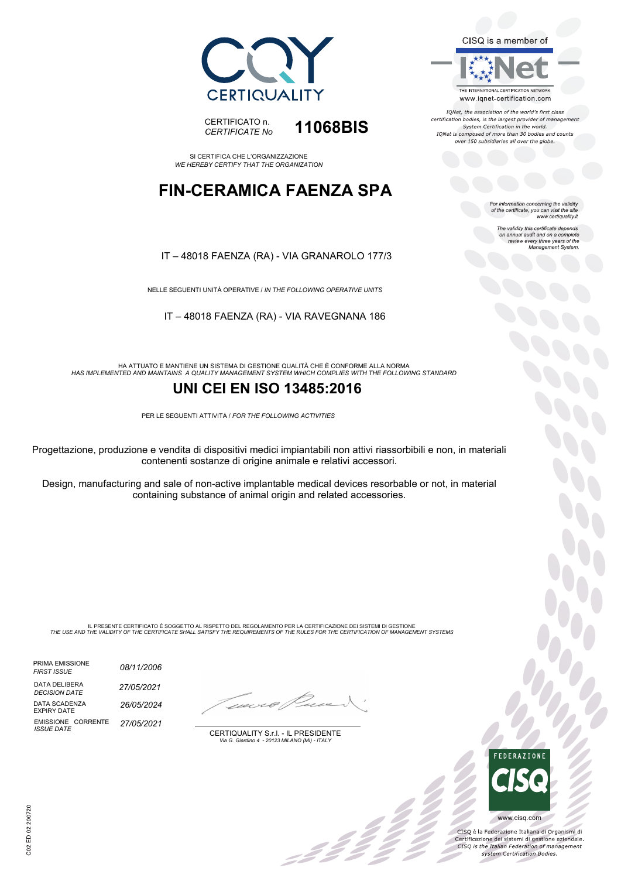



SI CERTIFICA CHE L'ORGANIZZAZIONE *WE HEREBY CERTIFY THAT THE ORGANIZATION*

### **FIN-CERAMICA FAENZA SPA**

#### IT – 48018 FAENZA (RA) - VIA GRANAROLO 177/3

NELLE SEGUENTI UNITÀ OPERATIVE / *IN THE FOLLOWING OPERATIVE UNITS*

IT – 48018 FAENZA (RA) - VIA RAVEGNANA 186

HA ATTUATO E MANTIENE UN SISTEMA DI GESTIONE QUALITÀ CHE È CONFORME ALLA NORMA *HAS IMPLEMENTED AND MAINTAINS A QUALITY MANAGEMENT SYSTEM WHICH COMPLIES WITH THE FOLLOWING STANDARD*

#### **UNI CEI EN ISO 13485:2016**

PER LE SEGUENTI ATTIVITÀ / *FOR THE FOLLOWING ACTIVITIES*

Progettazione, produzione e vendita di dispositivi medici impiantabili non attivi riassorbibili e non, in materiali contenenti sostanze di origine animale e relativi accessori.

Design, manufacturing and sale of non-active implantable medical devices resorbable or not, in material containing substance of animal origin and related accessories.

IL PRESENTE CERTIFICATO È SOGGETTO AL RISPETTO DEL REGOLAMENTO PER LA CERTIFICAZIONE DEI SISTEMI DI GESTIONE<br>THE USE AND THE VALIDITY OF THE CERTIFICATE SHALL SATISFY THE REQUIREMENTS OF THE RULES FOR THE CERTIFICATION OF

PRIMA EMISSIONE *FIRST ISSUE* DATA DELIBERA *DECISION DATE 08/11/2006 26/05/2024 27/05/2021* EMISSIONE CORRENTE *ISSUE DATE 27/05/2021* DATA SCADENZA EXPIRY DATE

-322 Z

CERTIQUALITY S.r.l. - IL PRESIDENTE *Via G. Giardino 4 - 20123 MILANO (MI) - ITALY*



IONet, the association of the world's first class certification bodies, is the largest provider of management<br>System Certification in the world. IQNet is composed of more than 30 bodies and counts over 150 subsidiaries all over the globe.

For information concerning the validity<br>of the certificate, you can visit the site<br>www.certiquality.it

The validity this certificate depends on annual audit and on a complete review every three years of the Management System.



X

CISQ è la Federazione Italiana di Organismi di Certificazione dei sistemi di gestione aziendale.<br>CESQ is the Italian Federation of management system Certification Bodies.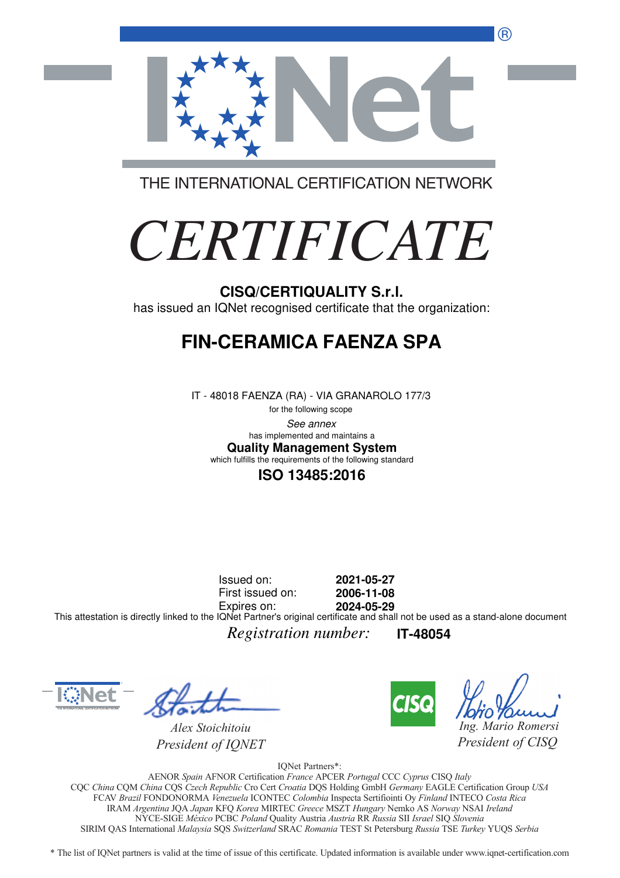®



THE INTERNATIONAL CERTIFICATION NETWORK

# *CERTIFICATE*

#### **CISQ/CERTIQUALITY S.r.l.**

has issued an IQNet recognised certificate that the organization:

## **FIN-CERAMICA FAENZA SPA**

IT - 48018 FAENZA (RA) - VIA GRANAROLO 177/3

for the following scope See annex **Quality Management System** has implemented and maintains a which fulfills the requirements of the following standard

#### **ISO 13485:2016**

Issued on: First issued on: Expires on: **2021-05-27 2006-11-08 2024-05-29** This attestation is directly linked to the IQNet Partner's original certificate and shall not be used as a stand-alone document

*Registration number:* **IT-48054**



*Alex Stoichitoiu President of IQNET*



*Ing. Mario Romersi*

*President of CISQ* 

IQNet Partners\*:

AENOR *Spain* AFNOR Certification *France* APCER *Portugal* CCC *Cyprus* CISQ *Italy* CQC *China* CQM *China* CQS *Czech Republic* Cro Cert *Croatia* DQS Holding GmbH *Germany* EAGLE Certification Group *USA* FCAV *Brazil* FONDONORMA *Venezuela* ICONTEC *Colombia* Inspecta Sertifiointi Oy *Finland* INTECO *Costa Rica* IRAM *Argentina* JQA *Japan* KFQ *Korea* MIRTEC *Greece* MSZT *Hungary* Nemko AS *Norway* NSAI *Ireland* NYCE-SIGE *México* PCBC *Poland* Quality Austria *Austria* RR *Russia* SII *Israel* SIQ *Slovenia* SIRIM QAS International *Malaysia* SQS *Switzerland* SRAC *Romania* TEST St Petersburg *Russia* TSE *Turkey* YUQS *Serbia*

\* The list of IQNet partners is valid at the time of issue of this certificate. Updated information is available under www.iqnet-certification.com